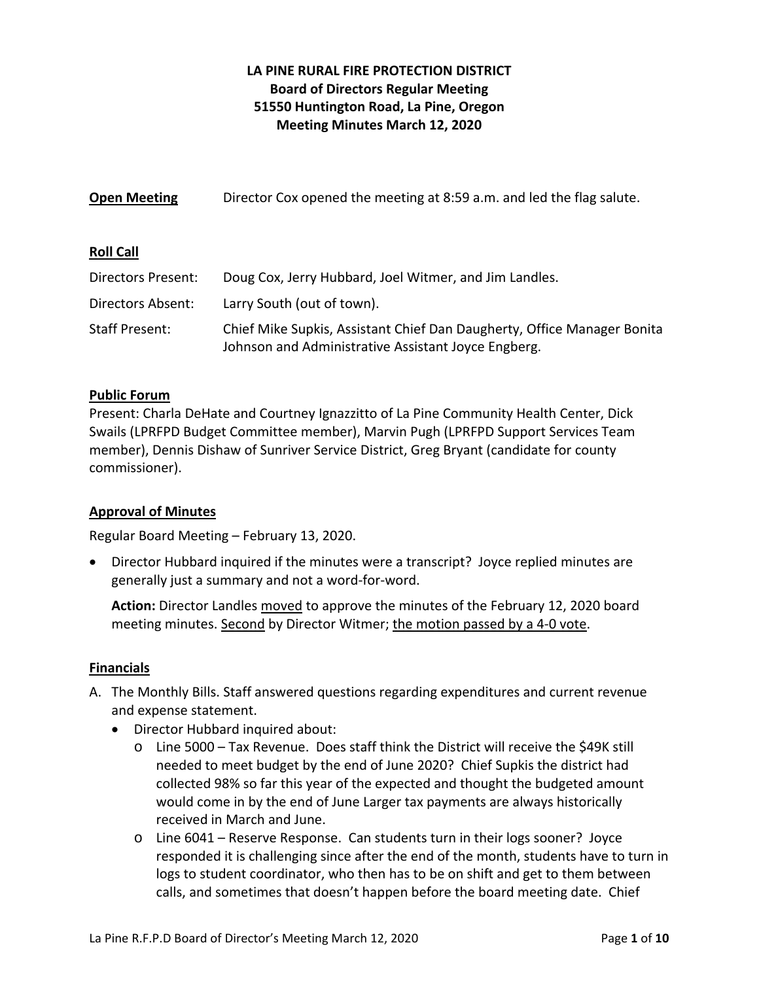# **LA PINE RURAL FIRE PROTECTION DISTRICT Board of Directors Regular Meeting 51550 Huntington Road, La Pine, Oregon Meeting Minutes March 12, 2020**

| <b>Open Meeting</b>      | Director Cox opened the meeting at 8:59 a.m. and led the flag salute.                                                          |
|--------------------------|--------------------------------------------------------------------------------------------------------------------------------|
| <b>Roll Call</b>         |                                                                                                                                |
| Directors Present:       | Doug Cox, Jerry Hubbard, Joel Witmer, and Jim Landles.                                                                         |
| <b>Directors Absent:</b> | Larry South (out of town).                                                                                                     |
| <b>Staff Present:</b>    | Chief Mike Supkis, Assistant Chief Dan Daugherty, Office Manager Bonita<br>Johnson and Administrative Assistant Joyce Engberg. |

### **Public Forum**

Present: Charla DeHate and Courtney Ignazzitto of La Pine Community Health Center, Dick Swails (LPRFPD Budget Committee member), Marvin Pugh (LPRFPD Support Services Team member), Dennis Dishaw of Sunriver Service District, Greg Bryant (candidate for county commissioner).

### **Approval of Minutes**

Regular Board Meeting – February 13, 2020.

 Director Hubbard inquired if the minutes were a transcript? Joyce replied minutes are generally just a summary and not a word‐for‐word.

**Action:** Director Landles moved to approve the minutes of the February 12, 2020 board meeting minutes. Second by Director Witmer; the motion passed by a 4-0 vote.

### **Financials**

- A. The Monthly Bills. Staff answered questions regarding expenditures and current revenue and expense statement.
	- Director Hubbard inquired about:
		- o Line 5000 Tax Revenue. Does staff think the District will receive the \$49K still needed to meet budget by the end of June 2020? Chief Supkis the district had collected 98% so far this year of the expected and thought the budgeted amount would come in by the end of June Larger tax payments are always historically received in March and June.
		- o Line 6041 Reserve Response. Can students turn in their logs sooner? Joyce responded it is challenging since after the end of the month, students have to turn in logs to student coordinator, who then has to be on shift and get to them between calls, and sometimes that doesn't happen before the board meeting date. Chief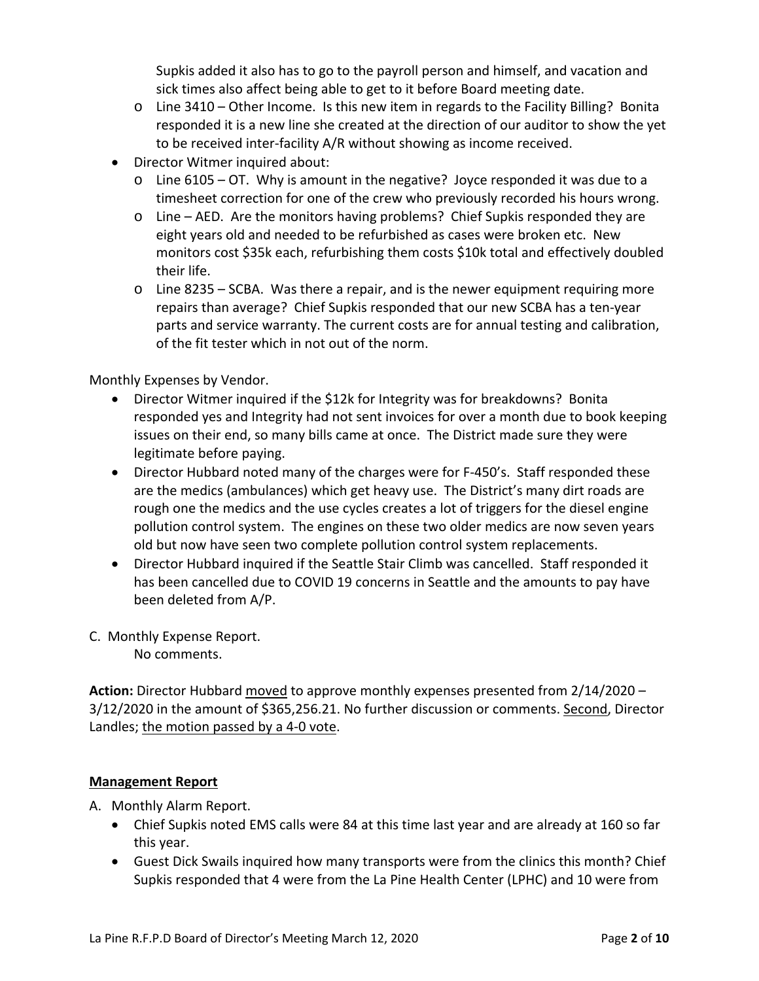Supkis added it also has to go to the payroll person and himself, and vacation and sick times also affect being able to get to it before Board meeting date.

- $\circ$  Line 3410 Other Income. Is this new item in regards to the Facility Billing? Bonita responded it is a new line she created at the direction of our auditor to show the yet to be received inter‐facility A/R without showing as income received.
- Director Witmer inquired about:
	- o Line 6105 OT. Why is amount in the negative? Joyce responded it was due to a timesheet correction for one of the crew who previously recorded his hours wrong.
	- $\circ$  Line AED. Are the monitors having problems? Chief Supkis responded they are eight years old and needed to be refurbished as cases were broken etc. New monitors cost \$35k each, refurbishing them costs \$10k total and effectively doubled their life.
	- o Line 8235 SCBA. Was there a repair, and is the newer equipment requiring more repairs than average? Chief Supkis responded that our new SCBA has a ten‐year parts and service warranty. The current costs are for annual testing and calibration, of the fit tester which in not out of the norm.

Monthly Expenses by Vendor.

- Director Witmer inquired if the \$12k for Integrity was for breakdowns? Bonita responded yes and Integrity had not sent invoices for over a month due to book keeping issues on their end, so many bills came at once. The District made sure they were legitimate before paying.
- Director Hubbard noted many of the charges were for F‐450's. Staff responded these are the medics (ambulances) which get heavy use. The District's many dirt roads are rough one the medics and the use cycles creates a lot of triggers for the diesel engine pollution control system. The engines on these two older medics are now seven years old but now have seen two complete pollution control system replacements.
- Director Hubbard inquired if the Seattle Stair Climb was cancelled. Staff responded it has been cancelled due to COVID 19 concerns in Seattle and the amounts to pay have been deleted from A/P.
- C. Monthly Expense Report.

No comments.

**Action:** Director Hubbard moved to approve monthly expenses presented from 2/14/2020 – 3/12/2020 in the amount of \$365,256.21. No further discussion or comments. Second, Director Landles; the motion passed by a 4‐0 vote.

### **Management Report**

A. Monthly Alarm Report.

- Chief Supkis noted EMS calls were 84 at this time last year and are already at 160 so far this year.
- Guest Dick Swails inquired how many transports were from the clinics this month? Chief Supkis responded that 4 were from the La Pine Health Center (LPHC) and 10 were from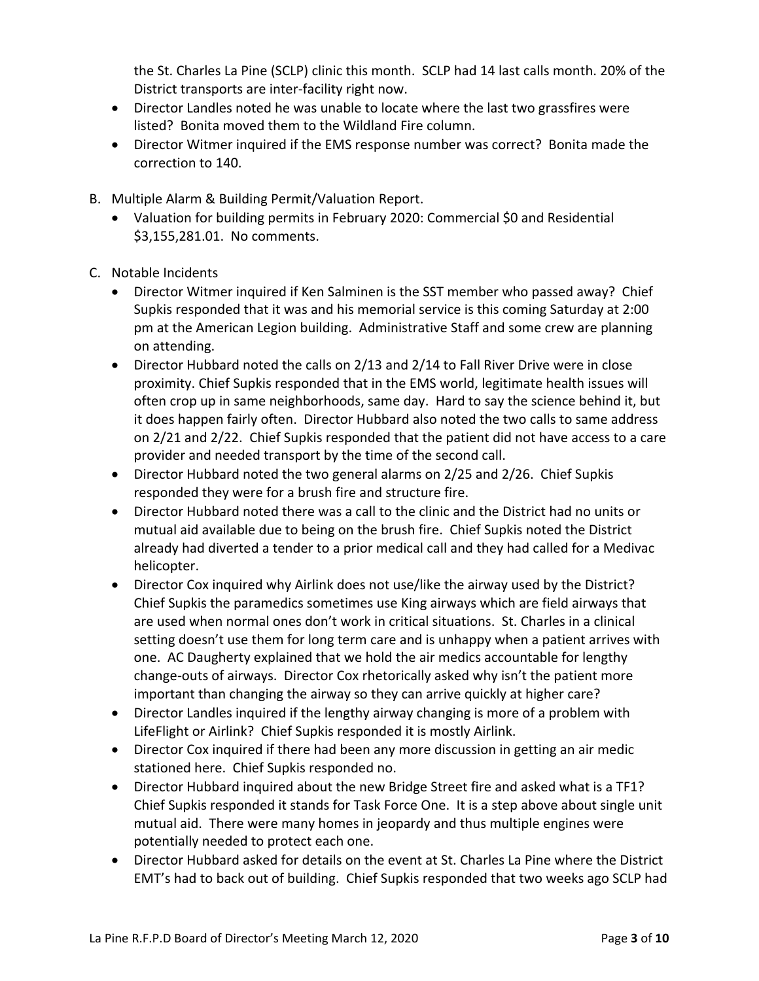the St. Charles La Pine (SCLP) clinic this month. SCLP had 14 last calls month. 20% of the District transports are inter‐facility right now.

- Director Landles noted he was unable to locate where the last two grassfires were listed? Bonita moved them to the Wildland Fire column.
- Director Witmer inquired if the EMS response number was correct? Bonita made the correction to 140.
- B. Multiple Alarm & Building Permit/Valuation Report.
	- Valuation for building permits in February 2020: Commercial \$0 and Residential \$3,155,281.01. No comments.
- C. Notable Incidents
	- Director Witmer inquired if Ken Salminen is the SST member who passed away? Chief Supkis responded that it was and his memorial service is this coming Saturday at 2:00 pm at the American Legion building. Administrative Staff and some crew are planning on attending.
	- Director Hubbard noted the calls on 2/13 and 2/14 to Fall River Drive were in close proximity. Chief Supkis responded that in the EMS world, legitimate health issues will often crop up in same neighborhoods, same day. Hard to say the science behind it, but it does happen fairly often. Director Hubbard also noted the two calls to same address on 2/21 and 2/22. Chief Supkis responded that the patient did not have access to a care provider and needed transport by the time of the second call.
	- Director Hubbard noted the two general alarms on 2/25 and 2/26. Chief Supkis responded they were for a brush fire and structure fire.
	- Director Hubbard noted there was a call to the clinic and the District had no units or mutual aid available due to being on the brush fire. Chief Supkis noted the District already had diverted a tender to a prior medical call and they had called for a Medivac helicopter.
	- Director Cox inquired why Airlink does not use/like the airway used by the District? Chief Supkis the paramedics sometimes use King airways which are field airways that are used when normal ones don't work in critical situations. St. Charles in a clinical setting doesn't use them for long term care and is unhappy when a patient arrives with one. AC Daugherty explained that we hold the air medics accountable for lengthy change‐outs of airways. Director Cox rhetorically asked why isn't the patient more important than changing the airway so they can arrive quickly at higher care?
	- Director Landles inquired if the lengthy airway changing is more of a problem with LifeFlight or Airlink? Chief Supkis responded it is mostly Airlink.
	- Director Cox inquired if there had been any more discussion in getting an air medic stationed here. Chief Supkis responded no.
	- Director Hubbard inquired about the new Bridge Street fire and asked what is a TF1? Chief Supkis responded it stands for Task Force One. It is a step above about single unit mutual aid. There were many homes in jeopardy and thus multiple engines were potentially needed to protect each one.
	- Director Hubbard asked for details on the event at St. Charles La Pine where the District EMT's had to back out of building. Chief Supkis responded that two weeks ago SCLP had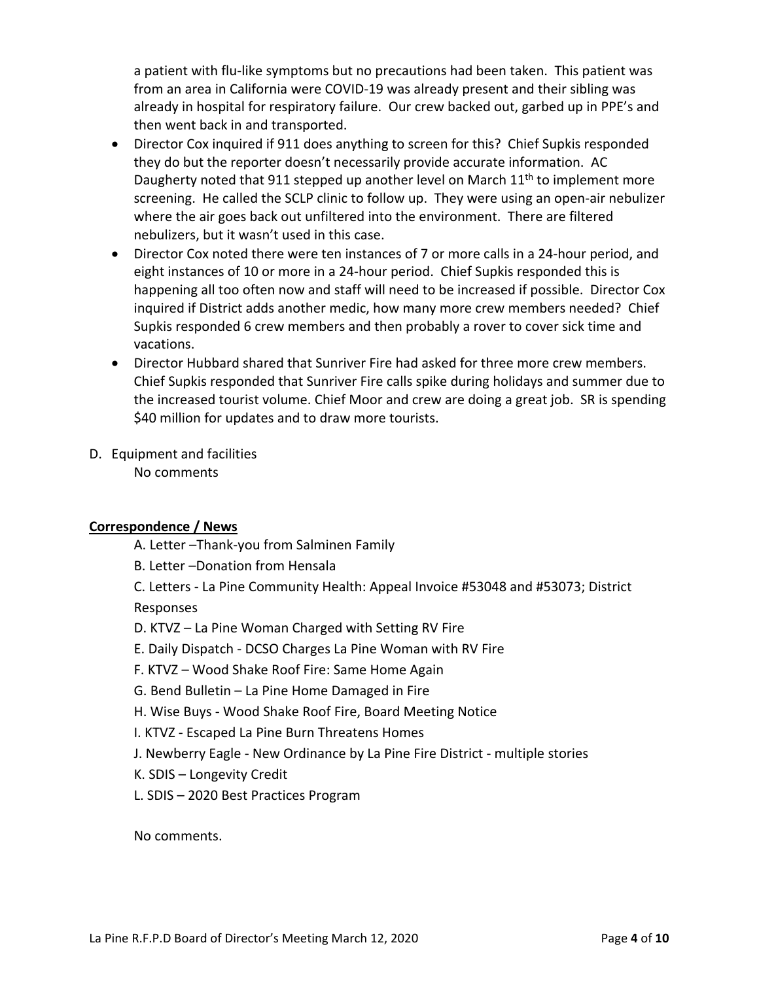a patient with flu-like symptoms but no precautions had been taken. This patient was from an area in California were COVID‐19 was already present and their sibling was already in hospital for respiratory failure. Our crew backed out, garbed up in PPE's and then went back in and transported.

- Director Cox inquired if 911 does anything to screen for this? Chief Supkis responded they do but the reporter doesn't necessarily provide accurate information. AC Daugherty noted that 911 stepped up another level on March  $11<sup>th</sup>$  to implement more screening. He called the SCLP clinic to follow up. They were using an open-air nebulizer where the air goes back out unfiltered into the environment. There are filtered nebulizers, but it wasn't used in this case.
- Director Cox noted there were ten instances of 7 or more calls in a 24-hour period, and eight instances of 10 or more in a 24‐hour period. Chief Supkis responded this is happening all too often now and staff will need to be increased if possible. Director Cox inquired if District adds another medic, how many more crew members needed? Chief Supkis responded 6 crew members and then probably a rover to cover sick time and vacations.
- Director Hubbard shared that Sunriver Fire had asked for three more crew members. Chief Supkis responded that Sunriver Fire calls spike during holidays and summer due to the increased tourist volume. Chief Moor and crew are doing a great job. SR is spending \$40 million for updates and to draw more tourists.
- D. Equipment and facilities No comments

## **Correspondence / News**

- A. Letter –Thank‐you from Salminen Family
- B. Letter –Donation from Hensala
- C. Letters ‐ La Pine Community Health: Appeal Invoice #53048 and #53073; District Responses
- D. KTVZ La Pine Woman Charged with Setting RV Fire
- E. Daily Dispatch ‐ DCSO Charges La Pine Woman with RV Fire
- F. KTVZ Wood Shake Roof Fire: Same Home Again
- G. Bend Bulletin La Pine Home Damaged in Fire
- H. Wise Buys ‐ Wood Shake Roof Fire, Board Meeting Notice
- I. KTVZ ‐ Escaped La Pine Burn Threatens Homes
- J. Newberry Eagle ‐ New Ordinance by La Pine Fire District ‐ multiple stories
- K. SDIS Longevity Credit
- L. SDIS 2020 Best Practices Program

No comments.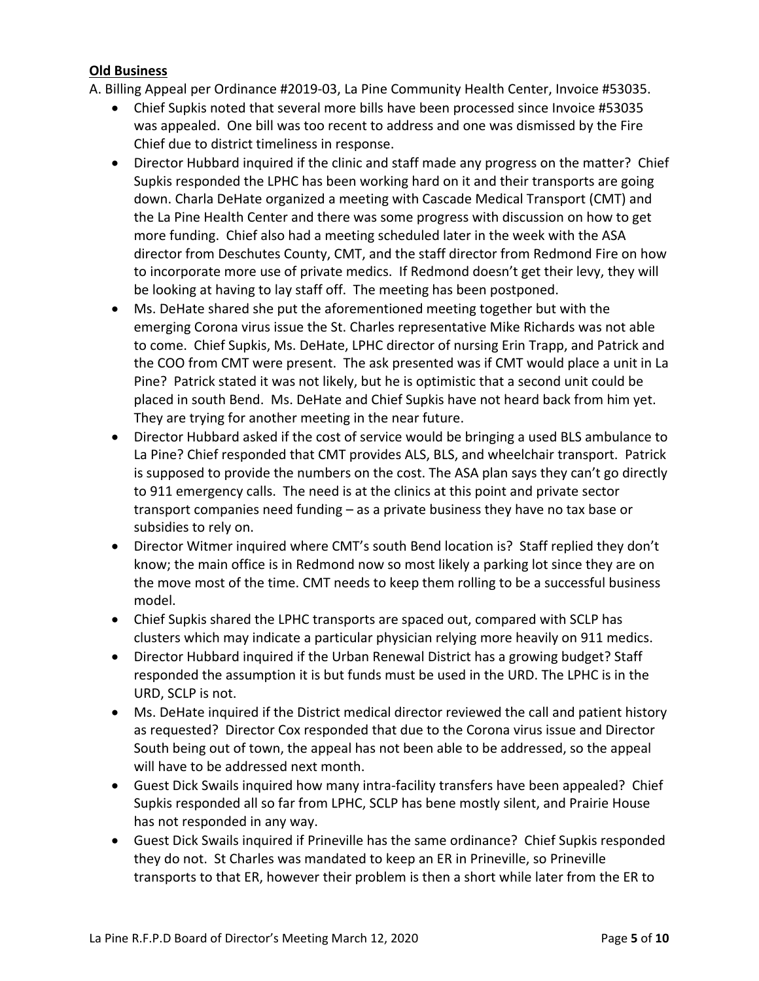### **Old Business**

A. Billing Appeal per Ordinance #2019‐03, La Pine Community Health Center, Invoice #53035.

- Chief Supkis noted that several more bills have been processed since Invoice #53035 was appealed. One bill was too recent to address and one was dismissed by the Fire Chief due to district timeliness in response.
- Director Hubbard inquired if the clinic and staff made any progress on the matter? Chief Supkis responded the LPHC has been working hard on it and their transports are going down. Charla DeHate organized a meeting with Cascade Medical Transport (CMT) and the La Pine Health Center and there was some progress with discussion on how to get more funding. Chief also had a meeting scheduled later in the week with the ASA director from Deschutes County, CMT, and the staff director from Redmond Fire on how to incorporate more use of private medics. If Redmond doesn't get their levy, they will be looking at having to lay staff off. The meeting has been postponed.
- Ms. DeHate shared she put the aforementioned meeting together but with the emerging Corona virus issue the St. Charles representative Mike Richards was not able to come. Chief Supkis, Ms. DeHate, LPHC director of nursing Erin Trapp, and Patrick and the COO from CMT were present. The ask presented was if CMT would place a unit in La Pine? Patrick stated it was not likely, but he is optimistic that a second unit could be placed in south Bend. Ms. DeHate and Chief Supkis have not heard back from him yet. They are trying for another meeting in the near future.
- Director Hubbard asked if the cost of service would be bringing a used BLS ambulance to La Pine? Chief responded that CMT provides ALS, BLS, and wheelchair transport. Patrick is supposed to provide the numbers on the cost. The ASA plan says they can't go directly to 911 emergency calls. The need is at the clinics at this point and private sector transport companies need funding – as a private business they have no tax base or subsidies to rely on.
- Director Witmer inquired where CMT's south Bend location is? Staff replied they don't know; the main office is in Redmond now so most likely a parking lot since they are on the move most of the time. CMT needs to keep them rolling to be a successful business model.
- Chief Supkis shared the LPHC transports are spaced out, compared with SCLP has clusters which may indicate a particular physician relying more heavily on 911 medics.
- Director Hubbard inquired if the Urban Renewal District has a growing budget? Staff responded the assumption it is but funds must be used in the URD. The LPHC is in the URD, SCLP is not.
- Ms. DeHate inquired if the District medical director reviewed the call and patient history as requested? Director Cox responded that due to the Corona virus issue and Director South being out of town, the appeal has not been able to be addressed, so the appeal will have to be addressed next month.
- Guest Dick Swails inquired how many intra-facility transfers have been appealed? Chief Supkis responded all so far from LPHC, SCLP has bene mostly silent, and Prairie House has not responded in any way.
- Guest Dick Swails inquired if Prineville has the same ordinance? Chief Supkis responded they do not. St Charles was mandated to keep an ER in Prineville, so Prineville transports to that ER, however their problem is then a short while later from the ER to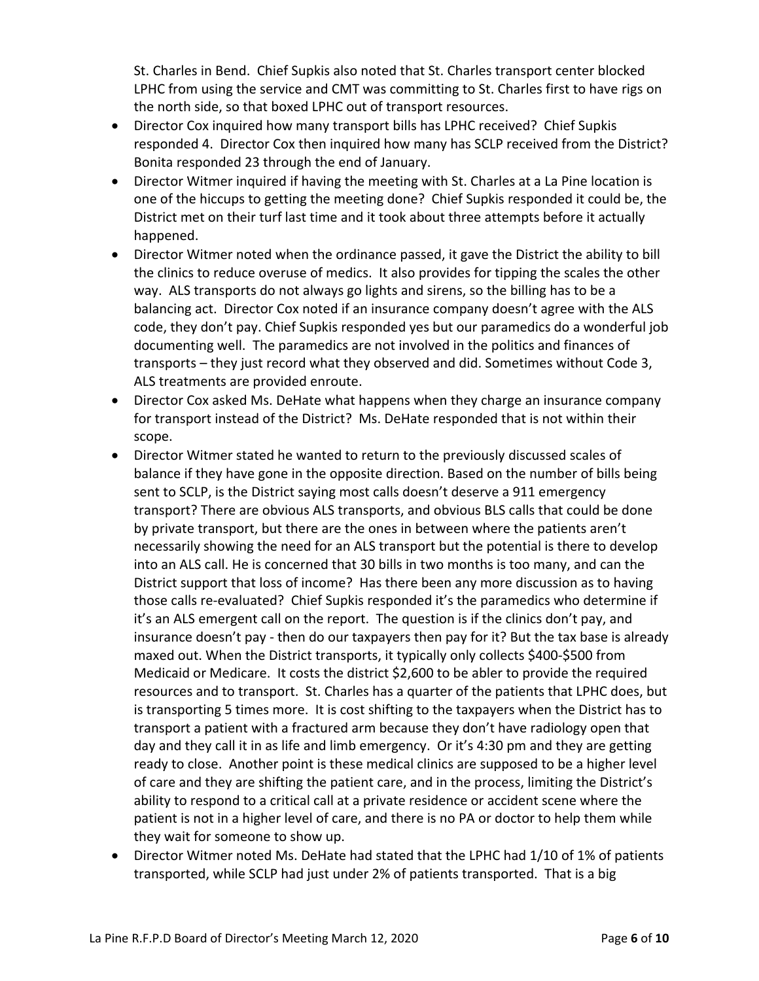St. Charles in Bend. Chief Supkis also noted that St. Charles transport center blocked LPHC from using the service and CMT was committing to St. Charles first to have rigs on the north side, so that boxed LPHC out of transport resources.

- Director Cox inquired how many transport bills has LPHC received? Chief Supkis responded 4. Director Cox then inquired how many has SCLP received from the District? Bonita responded 23 through the end of January.
- Director Witmer inquired if having the meeting with St. Charles at a La Pine location is one of the hiccups to getting the meeting done? Chief Supkis responded it could be, the District met on their turf last time and it took about three attempts before it actually happened.
- Director Witmer noted when the ordinance passed, it gave the District the ability to bill the clinics to reduce overuse of medics. It also provides for tipping the scales the other way. ALS transports do not always go lights and sirens, so the billing has to be a balancing act. Director Cox noted if an insurance company doesn't agree with the ALS code, they don't pay. Chief Supkis responded yes but our paramedics do a wonderful job documenting well. The paramedics are not involved in the politics and finances of transports – they just record what they observed and did. Sometimes without Code 3, ALS treatments are provided enroute.
- Director Cox asked Ms. DeHate what happens when they charge an insurance company for transport instead of the District? Ms. DeHate responded that is not within their scope.
- Director Witmer stated he wanted to return to the previously discussed scales of balance if they have gone in the opposite direction. Based on the number of bills being sent to SCLP, is the District saying most calls doesn't deserve a 911 emergency transport? There are obvious ALS transports, and obvious BLS calls that could be done by private transport, but there are the ones in between where the patients aren't necessarily showing the need for an ALS transport but the potential is there to develop into an ALS call. He is concerned that 30 bills in two months is too many, and can the District support that loss of income? Has there been any more discussion as to having those calls re‐evaluated? Chief Supkis responded it's the paramedics who determine if it's an ALS emergent call on the report. The question is if the clinics don't pay, and insurance doesn't pay ‐ then do our taxpayers then pay for it? But the tax base is already maxed out. When the District transports, it typically only collects \$400‐\$500 from Medicaid or Medicare. It costs the district \$2,600 to be abler to provide the required resources and to transport. St. Charles has a quarter of the patients that LPHC does, but is transporting 5 times more. It is cost shifting to the taxpayers when the District has to transport a patient with a fractured arm because they don't have radiology open that day and they call it in as life and limb emergency. Or it's 4:30 pm and they are getting ready to close. Another point is these medical clinics are supposed to be a higher level of care and they are shifting the patient care, and in the process, limiting the District's ability to respond to a critical call at a private residence or accident scene where the patient is not in a higher level of care, and there is no PA or doctor to help them while they wait for someone to show up.
- Director Witmer noted Ms. DeHate had stated that the LPHC had 1/10 of 1% of patients transported, while SCLP had just under 2% of patients transported. That is a big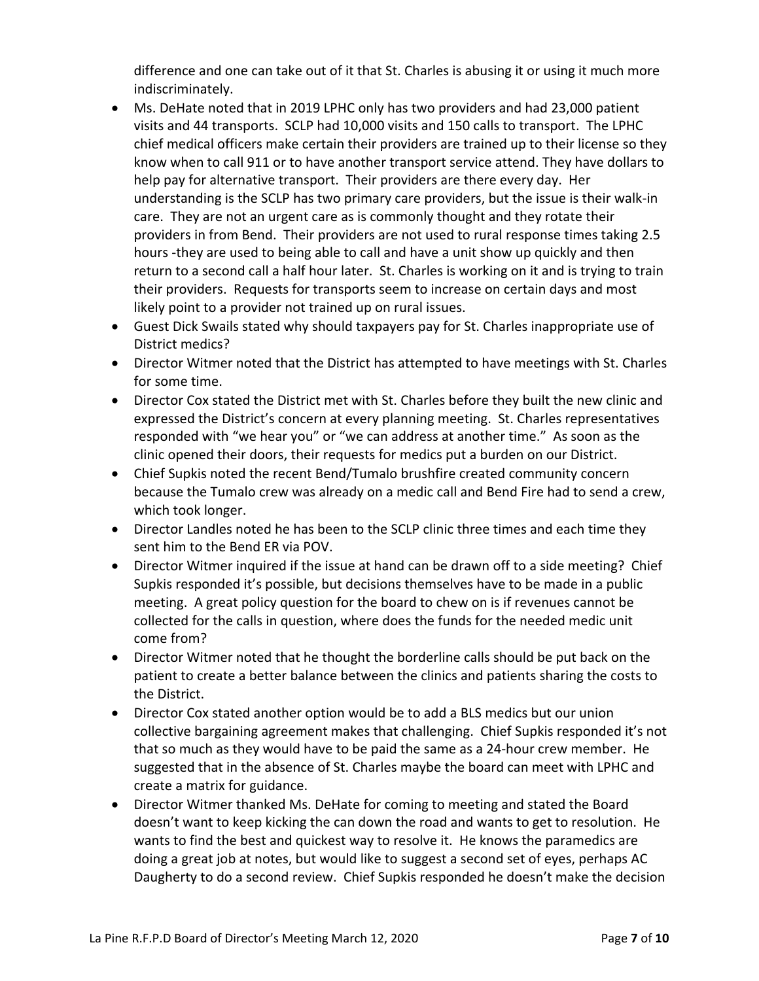difference and one can take out of it that St. Charles is abusing it or using it much more indiscriminately.

- Ms. DeHate noted that in 2019 LPHC only has two providers and had 23,000 patient visits and 44 transports. SCLP had 10,000 visits and 150 calls to transport. The LPHC chief medical officers make certain their providers are trained up to their license so they know when to call 911 or to have another transport service attend. They have dollars to help pay for alternative transport. Their providers are there every day. Her understanding is the SCLP has two primary care providers, but the issue is their walk‐in care. They are not an urgent care as is commonly thought and they rotate their providers in from Bend. Their providers are not used to rural response times taking 2.5 hours ‐they are used to being able to call and have a unit show up quickly and then return to a second call a half hour later. St. Charles is working on it and is trying to train their providers. Requests for transports seem to increase on certain days and most likely point to a provider not trained up on rural issues.
- Guest Dick Swails stated why should taxpayers pay for St. Charles inappropriate use of District medics?
- Director Witmer noted that the District has attempted to have meetings with St. Charles for some time.
- Director Cox stated the District met with St. Charles before they built the new clinic and expressed the District's concern at every planning meeting. St. Charles representatives responded with "we hear you" or "we can address at another time." As soon as the clinic opened their doors, their requests for medics put a burden on our District.
- Chief Supkis noted the recent Bend/Tumalo brushfire created community concern because the Tumalo crew was already on a medic call and Bend Fire had to send a crew, which took longer.
- Director Landles noted he has been to the SCLP clinic three times and each time they sent him to the Bend ER via POV.
- Director Witmer inquired if the issue at hand can be drawn off to a side meeting? Chief Supkis responded it's possible, but decisions themselves have to be made in a public meeting. A great policy question for the board to chew on is if revenues cannot be collected for the calls in question, where does the funds for the needed medic unit come from?
- Director Witmer noted that he thought the borderline calls should be put back on the patient to create a better balance between the clinics and patients sharing the costs to the District.
- Director Cox stated another option would be to add a BLS medics but our union collective bargaining agreement makes that challenging. Chief Supkis responded it's not that so much as they would have to be paid the same as a 24‐hour crew member. He suggested that in the absence of St. Charles maybe the board can meet with LPHC and create a matrix for guidance.
- Director Witmer thanked Ms. DeHate for coming to meeting and stated the Board doesn't want to keep kicking the can down the road and wants to get to resolution. He wants to find the best and quickest way to resolve it. He knows the paramedics are doing a great job at notes, but would like to suggest a second set of eyes, perhaps AC Daugherty to do a second review. Chief Supkis responded he doesn't make the decision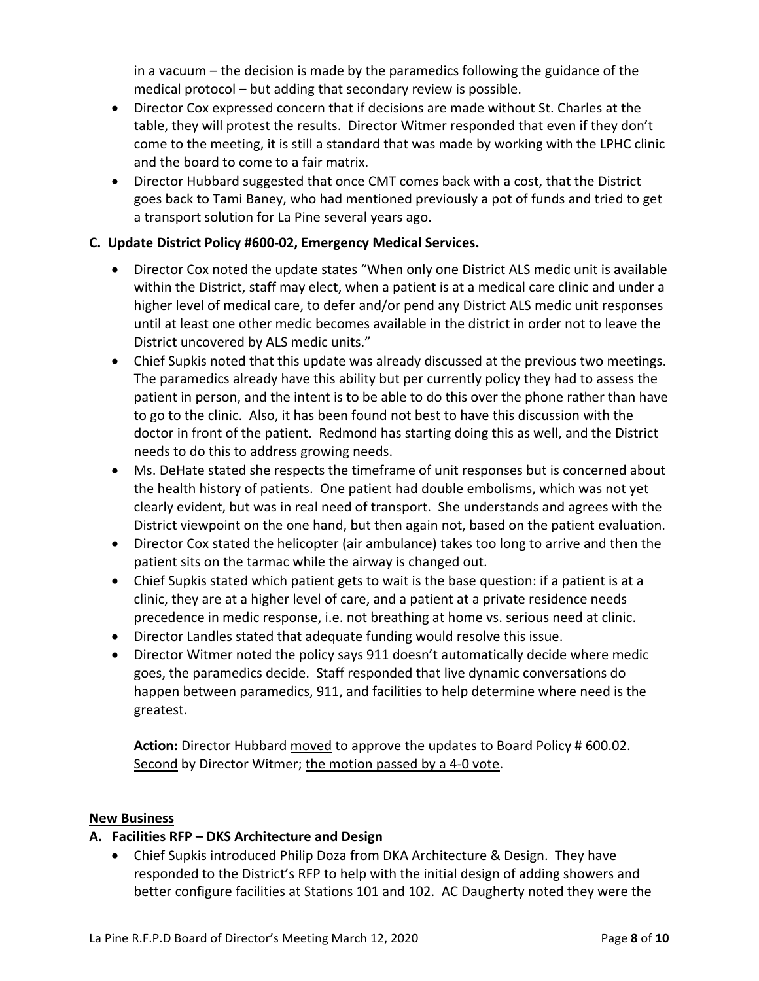in a vacuum – the decision is made by the paramedics following the guidance of the medical protocol – but adding that secondary review is possible.

- Director Cox expressed concern that if decisions are made without St. Charles at the table, they will protest the results. Director Witmer responded that even if they don't come to the meeting, it is still a standard that was made by working with the LPHC clinic and the board to come to a fair matrix.
- Director Hubbard suggested that once CMT comes back with a cost, that the District goes back to Tami Baney, who had mentioned previously a pot of funds and tried to get a transport solution for La Pine several years ago.

## **C. Update District Policy #600‐02, Emergency Medical Services.**

- Director Cox noted the update states "When only one District ALS medic unit is available within the District, staff may elect, when a patient is at a medical care clinic and under a higher level of medical care, to defer and/or pend any District ALS medic unit responses until at least one other medic becomes available in the district in order not to leave the District uncovered by ALS medic units."
- Chief Supkis noted that this update was already discussed at the previous two meetings. The paramedics already have this ability but per currently policy they had to assess the patient in person, and the intent is to be able to do this over the phone rather than have to go to the clinic. Also, it has been found not best to have this discussion with the doctor in front of the patient. Redmond has starting doing this as well, and the District needs to do this to address growing needs.
- Ms. DeHate stated she respects the timeframe of unit responses but is concerned about the health history of patients. One patient had double embolisms, which was not yet clearly evident, but was in real need of transport. She understands and agrees with the District viewpoint on the one hand, but then again not, based on the patient evaluation.
- Director Cox stated the helicopter (air ambulance) takes too long to arrive and then the patient sits on the tarmac while the airway is changed out.
- Chief Supkis stated which patient gets to wait is the base question: if a patient is at a clinic, they are at a higher level of care, and a patient at a private residence needs precedence in medic response, i.e. not breathing at home vs. serious need at clinic.
- Director Landles stated that adequate funding would resolve this issue.
- Director Witmer noted the policy says 911 doesn't automatically decide where medic goes, the paramedics decide. Staff responded that live dynamic conversations do happen between paramedics, 911, and facilities to help determine where need is the greatest.

**Action:** Director Hubbard moved to approve the updates to Board Policy # 600.02. Second by Director Witmer; the motion passed by a 4‐0 vote.

### **New Business**

## **A. Facilities RFP – DKS Architecture and Design**

 Chief Supkis introduced Philip Doza from DKA Architecture & Design. They have responded to the District's RFP to help with the initial design of adding showers and better configure facilities at Stations 101 and 102. AC Daugherty noted they were the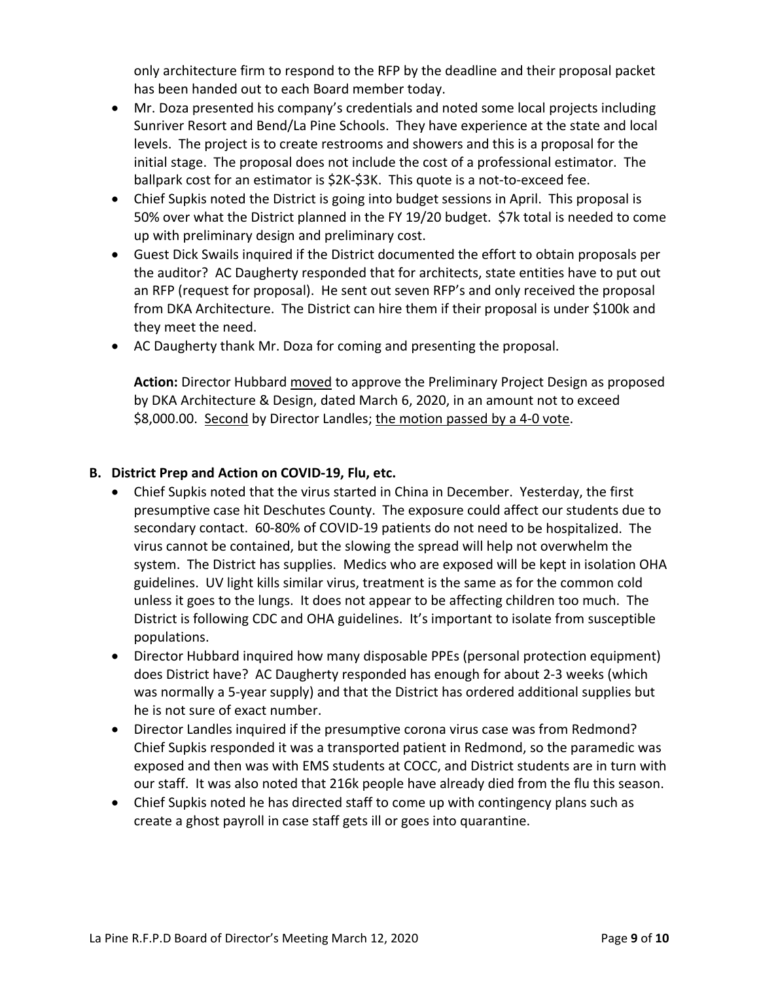only architecture firm to respond to the RFP by the deadline and their proposal packet has been handed out to each Board member today.

- Mr. Doza presented his company's credentials and noted some local projects including Sunriver Resort and Bend/La Pine Schools. They have experience at the state and local levels. The project is to create restrooms and showers and this is a proposal for the initial stage. The proposal does not include the cost of a professional estimator. The ballpark cost for an estimator is \$2K‐\$3K. This quote is a not‐to‐exceed fee.
- Chief Supkis noted the District is going into budget sessions in April. This proposal is 50% over what the District planned in the FY 19/20 budget. \$7k total is needed to come up with preliminary design and preliminary cost.
- Guest Dick Swails inquired if the District documented the effort to obtain proposals per the auditor? AC Daugherty responded that for architects, state entities have to put out an RFP (request for proposal). He sent out seven RFP's and only received the proposal from DKA Architecture. The District can hire them if their proposal is under \$100k and they meet the need.
- AC Daugherty thank Mr. Doza for coming and presenting the proposal.

**Action:** Director Hubbard moved to approve the Preliminary Project Design as proposed by DKA Architecture & Design, dated March 6, 2020, in an amount not to exceed \$8,000.00. Second by Director Landles; the motion passed by a 4‐0 vote.

## **B. District Prep and Action on COVID‐19, Flu, etc.**

- Chief Supkis noted that the virus started in China in December. Yesterday, the first presumptive case hit Deschutes County. The exposure could affect our students due to secondary contact. 60‐80% of COVID‐19 patients do not need to be hospitalized. The virus cannot be contained, but the slowing the spread will help not overwhelm the system. The District has supplies. Medics who are exposed will be kept in isolation OHA guidelines. UV light kills similar virus, treatment is the same as for the common cold unless it goes to the lungs. It does not appear to be affecting children too much. The District is following CDC and OHA guidelines. It's important to isolate from susceptible populations.
- Director Hubbard inquired how many disposable PPEs (personal protection equipment) does District have? AC Daugherty responded has enough for about 2‐3 weeks (which was normally a 5-year supply) and that the District has ordered additional supplies but he is not sure of exact number.
- Director Landles inquired if the presumptive corona virus case was from Redmond? Chief Supkis responded it was a transported patient in Redmond, so the paramedic was exposed and then was with EMS students at COCC, and District students are in turn with our staff. It was also noted that 216k people have already died from the flu this season.
- Chief Supkis noted he has directed staff to come up with contingency plans such as create a ghost payroll in case staff gets ill or goes into quarantine.